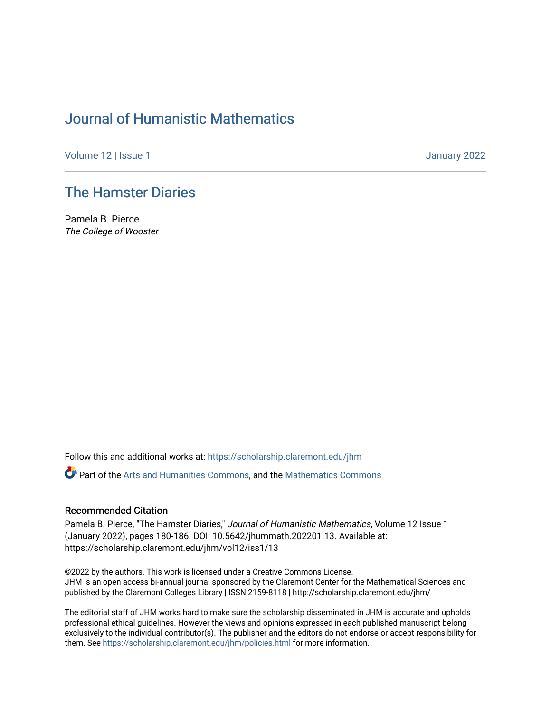# [Journal of Humanistic Mathematics](https://scholarship.claremont.edu/jhm)

[Volume 12](https://scholarship.claremont.edu/jhm/vol12) | Issue 1 January 2022

# [The Hamster Diaries](https://scholarship.claremont.edu/jhm/vol12/iss1/13)

Pamela B. Pierce The College of Wooster

Follow this and additional works at: [https://scholarship.claremont.edu/jhm](https://scholarship.claremont.edu/jhm?utm_source=scholarship.claremont.edu%2Fjhm%2Fvol12%2Fiss1%2F13&utm_medium=PDF&utm_campaign=PDFCoverPages)

Part of the [Arts and Humanities Commons,](http://network.bepress.com/hgg/discipline/438?utm_source=scholarship.claremont.edu%2Fjhm%2Fvol12%2Fiss1%2F13&utm_medium=PDF&utm_campaign=PDFCoverPages) and the [Mathematics Commons](http://network.bepress.com/hgg/discipline/174?utm_source=scholarship.claremont.edu%2Fjhm%2Fvol12%2Fiss1%2F13&utm_medium=PDF&utm_campaign=PDFCoverPages) 

## Recommended Citation

Pamela B. Pierce, "The Hamster Diaries," Journal of Humanistic Mathematics, Volume 12 Issue 1 (January 2022), pages 180-186. DOI: 10.5642/jhummath.202201.13. Available at: https://scholarship.claremont.edu/jhm/vol12/iss1/13

©2022 by the authors. This work is licensed under a Creative Commons License. JHM is an open access bi-annual journal sponsored by the Claremont Center for the Mathematical Sciences and published by the Claremont Colleges Library | ISSN 2159-8118 | http://scholarship.claremont.edu/jhm/

The editorial staff of JHM works hard to make sure the scholarship disseminated in JHM is accurate and upholds professional ethical guidelines. However the views and opinions expressed in each published manuscript belong exclusively to the individual contributor(s). The publisher and the editors do not endorse or accept responsibility for them. See<https://scholarship.claremont.edu/jhm/policies.html> for more information.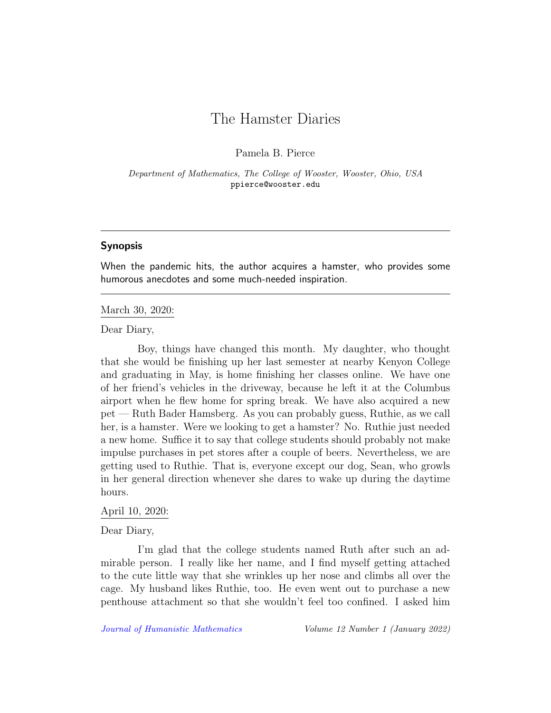# The Hamster Diaries

Pamela B. Pierce

Department of Mathematics, The College of Wooster, Wooster, Ohio, USA ppierce@wooster.edu

## Synopsis

When the pandemic hits, the author acquires a hamster, who provides some humorous anecdotes and some much-needed inspiration.

## March 30, 2020:

Dear Diary,

Boy, things have changed this month. My daughter, who thought that she would be finishing up her last semester at nearby Kenyon College and graduating in May, is home finishing her classes online. We have one of her friend's vehicles in the driveway, because he left it at the Columbus airport when he flew home for spring break. We have also acquired a new pet — Ruth Bader Hamsberg. As you can probably guess, Ruthie, as we call her, is a hamster. Were we looking to get a hamster? No. Ruthie just needed a new home. Suffice it to say that college students should probably not make impulse purchases in pet stores after a couple of beers. Nevertheless, we are getting used to Ruthie. That is, everyone except our dog, Sean, who growls in her general direction whenever she dares to wake up during the daytime hours.

#### April 10, 2020:

Dear Diary,

I'm glad that the college students named Ruth after such an admirable person. I really like her name, and I find myself getting attached to the cute little way that she wrinkles up her nose and climbs all over the cage. My husband likes Ruthie, too. He even went out to purchase a new penthouse attachment so that she wouldn't feel too confined. I asked him

[Journal of Humanistic Mathematics](http://scholarship.claremont.edu/jhm/) Volume 12 Number 1 (January 2022)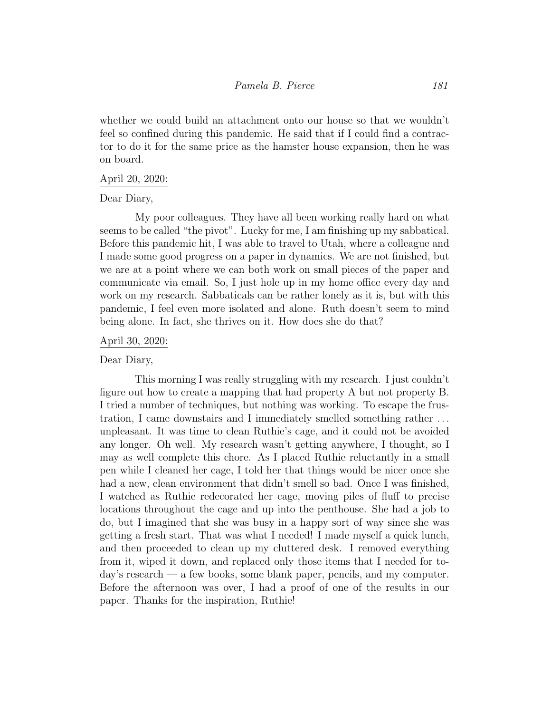whether we could build an attachment onto our house so that we wouldn't feel so confined during this pandemic. He said that if I could find a contractor to do it for the same price as the hamster house expansion, then he was on board.

## April 20, 2020:

## Dear Diary,

My poor colleagues. They have all been working really hard on what seems to be called "the pivot". Lucky for me, I am finishing up my sabbatical. Before this pandemic hit, I was able to travel to Utah, where a colleague and I made some good progress on a paper in dynamics. We are not finished, but we are at a point where we can both work on small pieces of the paper and communicate via email. So, I just hole up in my home office every day and work on my research. Sabbaticals can be rather lonely as it is, but with this pandemic, I feel even more isolated and alone. Ruth doesn't seem to mind being alone. In fact, she thrives on it. How does she do that?

## April 30, 2020:

Dear Diary,

This morning I was really struggling with my research. I just couldn't figure out how to create a mapping that had property A but not property B. I tried a number of techniques, but nothing was working. To escape the frustration, I came downstairs and I immediately smelled something rather . . . unpleasant. It was time to clean Ruthie's cage, and it could not be avoided any longer. Oh well. My research wasn't getting anywhere, I thought, so I may as well complete this chore. As I placed Ruthie reluctantly in a small pen while I cleaned her cage, I told her that things would be nicer once she had a new, clean environment that didn't smell so bad. Once I was finished, I watched as Ruthie redecorated her cage, moving piles of fluff to precise locations throughout the cage and up into the penthouse. She had a job to do, but I imagined that she was busy in a happy sort of way since she was getting a fresh start. That was what I needed! I made myself a quick lunch, and then proceeded to clean up my cluttered desk. I removed everything from it, wiped it down, and replaced only those items that I needed for today's research — a few books, some blank paper, pencils, and my computer. Before the afternoon was over, I had a proof of one of the results in our paper. Thanks for the inspiration, Ruthie!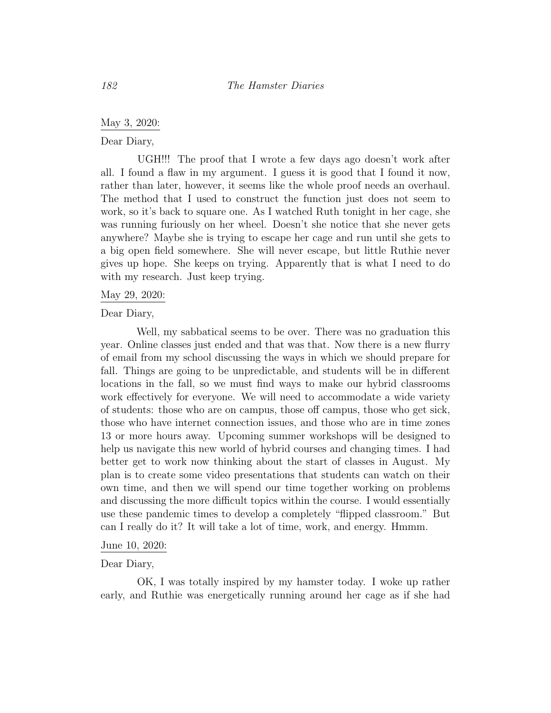May 3, 2020:

Dear Diary,

UGH!!! The proof that I wrote a few days ago doesn't work after all. I found a flaw in my argument. I guess it is good that I found it now, rather than later, however, it seems like the whole proof needs an overhaul. The method that I used to construct the function just does not seem to work, so it's back to square one. As I watched Ruth tonight in her cage, she was running furiously on her wheel. Doesn't she notice that she never gets anywhere? Maybe she is trying to escape her cage and run until she gets to a big open field somewhere. She will never escape, but little Ruthie never gives up hope. She keeps on trying. Apparently that is what I need to do with my research. Just keep trying.

### May 29, 2020:

Dear Diary,

Well, my sabbatical seems to be over. There was no graduation this year. Online classes just ended and that was that. Now there is a new flurry of email from my school discussing the ways in which we should prepare for fall. Things are going to be unpredictable, and students will be in different locations in the fall, so we must find ways to make our hybrid classrooms work effectively for everyone. We will need to accommodate a wide variety of students: those who are on campus, those off campus, those who get sick, those who have internet connection issues, and those who are in time zones 13 or more hours away. Upcoming summer workshops will be designed to help us navigate this new world of hybrid courses and changing times. I had better get to work now thinking about the start of classes in August. My plan is to create some video presentations that students can watch on their own time, and then we will spend our time together working on problems and discussing the more difficult topics within the course. I would essentially use these pandemic times to develop a completely "flipped classroom." But can I really do it? It will take a lot of time, work, and energy. Hmmm.

#### June 10, 2020:

# Dear Diary,

OK, I was totally inspired by my hamster today. I woke up rather early, and Ruthie was energetically running around her cage as if she had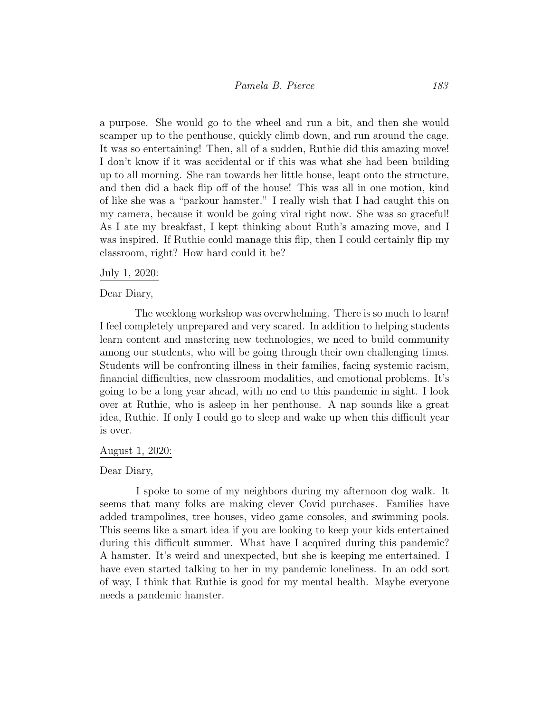a purpose. She would go to the wheel and run a bit, and then she would scamper up to the penthouse, quickly climb down, and run around the cage. It was so entertaining! Then, all of a sudden, Ruthie did this amazing move! I don't know if it was accidental or if this was what she had been building up to all morning. She ran towards her little house, leapt onto the structure, and then did a back flip off of the house! This was all in one motion, kind of like she was a "parkour hamster." I really wish that I had caught this on my camera, because it would be going viral right now. She was so graceful! As I ate my breakfast, I kept thinking about Ruth's amazing move, and I was inspired. If Ruthie could manage this flip, then I could certainly flip my classroom, right? How hard could it be?

### July 1, 2020:

### Dear Diary,

The weeklong workshop was overwhelming. There is so much to learn! I feel completely unprepared and very scared. In addition to helping students learn content and mastering new technologies, we need to build community among our students, who will be going through their own challenging times. Students will be confronting illness in their families, facing systemic racism, financial difficulties, new classroom modalities, and emotional problems. It's going to be a long year ahead, with no end to this pandemic in sight. I look over at Ruthie, who is asleep in her penthouse. A nap sounds like a great idea, Ruthie. If only I could go to sleep and wake up when this difficult year is over.

#### August 1, 2020:

## Dear Diary,

I spoke to some of my neighbors during my afternoon dog walk. It seems that many folks are making clever Covid purchases. Families have added trampolines, tree houses, video game consoles, and swimming pools. This seems like a smart idea if you are looking to keep your kids entertained during this difficult summer. What have I acquired during this pandemic? A hamster. It's weird and unexpected, but she is keeping me entertained. I have even started talking to her in my pandemic loneliness. In an odd sort of way, I think that Ruthie is good for my mental health. Maybe everyone needs a pandemic hamster.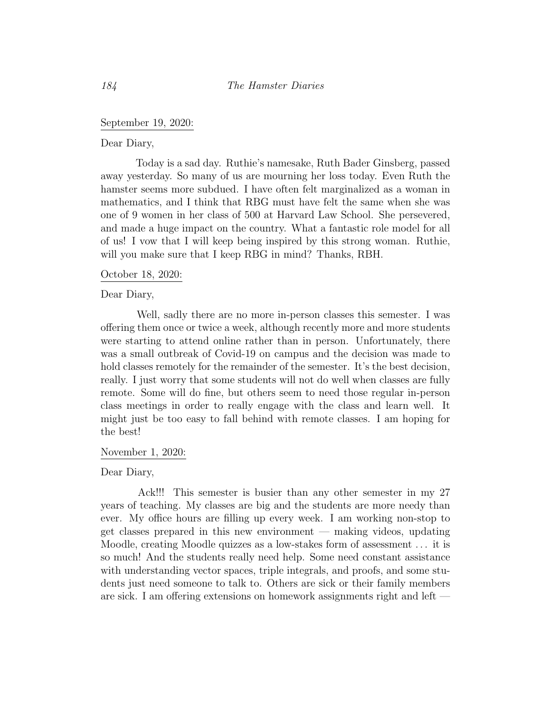# September 19, 2020:

Dear Diary,

Today is a sad day. Ruthie's namesake, Ruth Bader Ginsberg, passed away yesterday. So many of us are mourning her loss today. Even Ruth the hamster seems more subdued. I have often felt marginalized as a woman in mathematics, and I think that RBG must have felt the same when she was one of 9 women in her class of 500 at Harvard Law School. She persevered, and made a huge impact on the country. What a fantastic role model for all of us! I vow that I will keep being inspired by this strong woman. Ruthie, will you make sure that I keep RBG in mind? Thanks, RBH.

## October 18, 2020:

Dear Diary,

Well, sadly there are no more in-person classes this semester. I was offering them once or twice a week, although recently more and more students were starting to attend online rather than in person. Unfortunately, there was a small outbreak of Covid-19 on campus and the decision was made to hold classes remotely for the remainder of the semester. It's the best decision, really. I just worry that some students will not do well when classes are fully remote. Some will do fine, but others seem to need those regular in-person class meetings in order to really engage with the class and learn well. It might just be too easy to fall behind with remote classes. I am hoping for the best!

#### November 1, 2020:

Dear Diary,

Ack!!! This semester is busier than any other semester in my 27 years of teaching. My classes are big and the students are more needy than ever. My office hours are filling up every week. I am working non-stop to get classes prepared in this new environment — making videos, updating Moodle, creating Moodle quizzes as a low-stakes form of assessment . . . it is so much! And the students really need help. Some need constant assistance with understanding vector spaces, triple integrals, and proofs, and some students just need someone to talk to. Others are sick or their family members are sick. I am offering extensions on homework assignments right and left —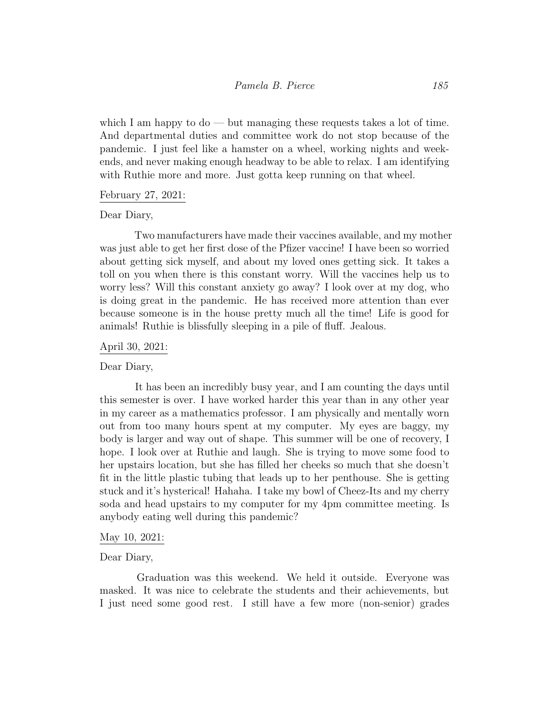which I am happy to  $\text{do}$  — but managing these requests takes a lot of time. And departmental duties and committee work do not stop because of the pandemic. I just feel like a hamster on a wheel, working nights and weekends, and never making enough headway to be able to relax. I am identifying with Ruthie more and more. Just gotta keep running on that wheel.

# February 27, 2021:

Dear Diary,

Two manufacturers have made their vaccines available, and my mother was just able to get her first dose of the Pfizer vaccine! I have been so worried about getting sick myself, and about my loved ones getting sick. It takes a toll on you when there is this constant worry. Will the vaccines help us to worry less? Will this constant anxiety go away? I look over at my dog, who is doing great in the pandemic. He has received more attention than ever because someone is in the house pretty much all the time! Life is good for animals! Ruthie is blissfully sleeping in a pile of fluff. Jealous.

## April 30, 2021:

Dear Diary,

It has been an incredibly busy year, and I am counting the days until this semester is over. I have worked harder this year than in any other year in my career as a mathematics professor. I am physically and mentally worn out from too many hours spent at my computer. My eyes are baggy, my body is larger and way out of shape. This summer will be one of recovery, I hope. I look over at Ruthie and laugh. She is trying to move some food to her upstairs location, but she has filled her cheeks so much that she doesn't fit in the little plastic tubing that leads up to her penthouse. She is getting stuck and it's hysterical! Hahaha. I take my bowl of Cheez-Its and my cherry soda and head upstairs to my computer for my 4pm committee meeting. Is anybody eating well during this pandemic?

#### May 10, 2021:

## Dear Diary,

Graduation was this weekend. We held it outside. Everyone was masked. It was nice to celebrate the students and their achievements, but I just need some good rest. I still have a few more (non-senior) grades